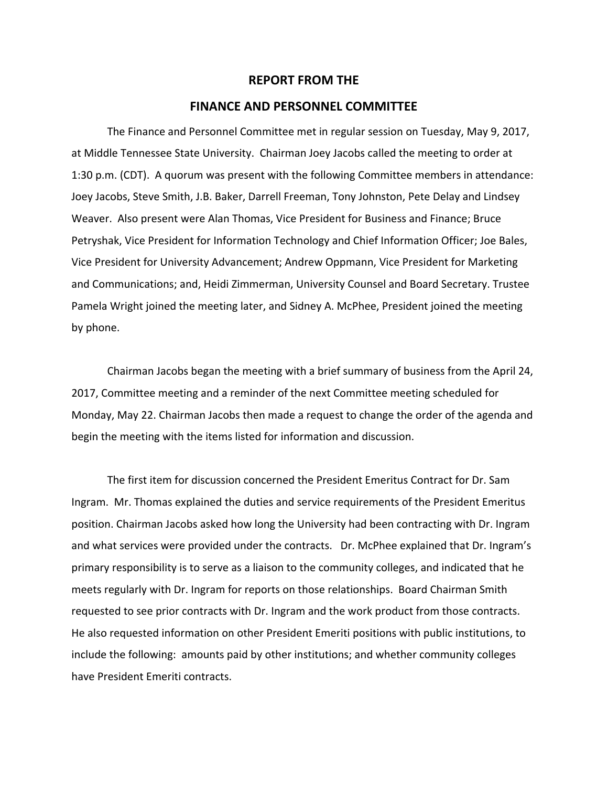## **REPORT FROM THE**

## **FINANCE AND PERSONNEL COMMITTEE**

The Finance and Personnel Committee met in regular session on Tuesday, May 9, 2017, at Middle Tennessee State University. Chairman Joey Jacobs called the meeting to order at 1:30 p.m. (CDT). A quorum was present with the following Committee members in attendance: Joey Jacobs, Steve Smith, J.B. Baker, Darrell Freeman, Tony Johnston, Pete Delay and Lindsey Weaver. Also present were Alan Thomas, Vice President for Business and Finance; Bruce Petryshak, Vice President for Information Technology and Chief Information Officer; Joe Bales, Vice President for University Advancement; Andrew Oppmann, Vice President for Marketing and Communications; and, Heidi Zimmerman, University Counsel and Board Secretary. Trustee Pamela Wright joined the meeting later, and Sidney A. McPhee, President joined the meeting by phone.

Chairman Jacobs began the meeting with a brief summary of business from the April 24, 2017, Committee meeting and a reminder of the next Committee meeting scheduled for Monday, May 22. Chairman Jacobs then made a request to change the order of the agenda and begin the meeting with the items listed for information and discussion.

The first item for discussion concerned the President Emeritus Contract for Dr. Sam Ingram. Mr. Thomas explained the duties and service requirements of the President Emeritus position. Chairman Jacobs asked how long the University had been contracting with Dr. Ingram and what services were provided under the contracts. Dr. McPhee explained that Dr. Ingram's primary responsibility is to serve as a liaison to the community colleges, and indicated that he meets regularly with Dr. Ingram for reports on those relationships. Board Chairman Smith requested to see prior contracts with Dr. Ingram and the work product from those contracts. He also requested information on other President Emeriti positions with public institutions, to include the following: amounts paid by other institutions; and whether community colleges have President Emeriti contracts.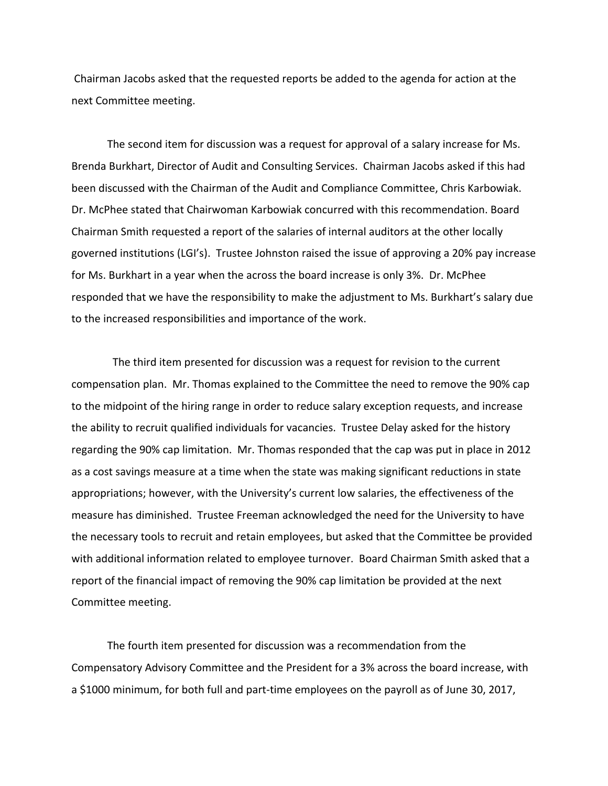Chairman Jacobs asked that the requested reports be added to the agenda for action at the next Committee meeting.

The second item for discussion was a request for approval of a salary increase for Ms. Brenda Burkhart, Director of Audit and Consulting Services. Chairman Jacobs asked if this had been discussed with the Chairman of the Audit and Compliance Committee, Chris Karbowiak. Dr. McPhee stated that Chairwoman Karbowiak concurred with this recommendation. Board Chairman Smith requested a report of the salaries of internal auditors at the other locally governed institutions (LGI's). Trustee Johnston raised the issue of approving a 20% pay increase for Ms. Burkhart in a year when the across the board increase is only 3%. Dr. McPhee responded that we have the responsibility to make the adjustment to Ms. Burkhart's salary due to the increased responsibilities and importance of the work.

 The third item presented for discussion was a request for revision to the current compensation plan. Mr. Thomas explained to the Committee the need to remove the 90% cap to the midpoint of the hiring range in order to reduce salary exception requests, and increase the ability to recruit qualified individuals for vacancies. Trustee Delay asked for the history regarding the 90% cap limitation. Mr. Thomas responded that the cap was put in place in 2012 as a cost savings measure at a time when the state was making significant reductions in state appropriations; however, with the University's current low salaries, the effectiveness of the measure has diminished. Trustee Freeman acknowledged the need for the University to have the necessary tools to recruit and retain employees, but asked that the Committee be provided with additional information related to employee turnover. Board Chairman Smith asked that a report of the financial impact of removing the 90% cap limitation be provided at the next Committee meeting.

The fourth item presented for discussion was a recommendation from the Compensatory Advisory Committee and the President for a 3% across the board increase, with a \$1000 minimum, for both full and part‐time employees on the payroll as of June 30, 2017,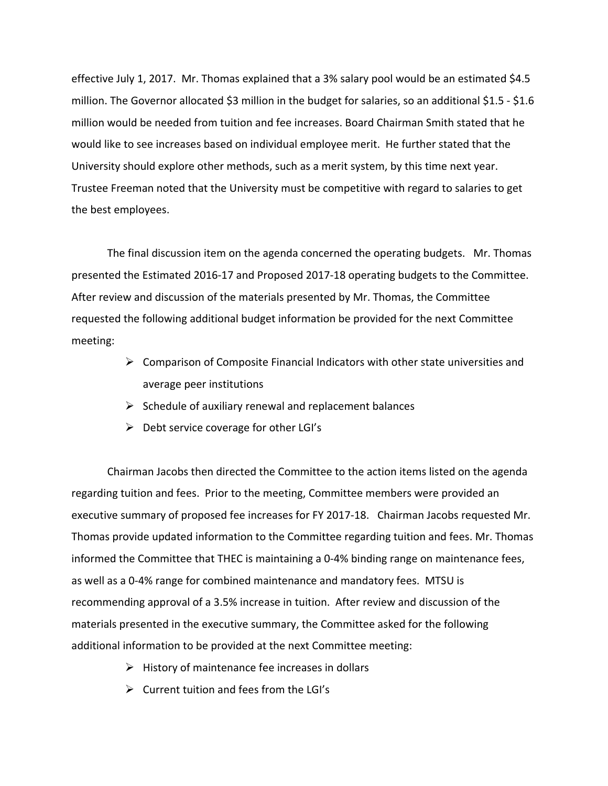effective July 1, 2017. Mr. Thomas explained that a 3% salary pool would be an estimated \$4.5 million. The Governor allocated \$3 million in the budget for salaries, so an additional \$1.5 ‐ \$1.6 million would be needed from tuition and fee increases. Board Chairman Smith stated that he would like to see increases based on individual employee merit. He further stated that the University should explore other methods, such as a merit system, by this time next year. Trustee Freeman noted that the University must be competitive with regard to salaries to get the best employees.

The final discussion item on the agenda concerned the operating budgets. Mr. Thomas presented the Estimated 2016‐17 and Proposed 2017‐18 operating budgets to the Committee. After review and discussion of the materials presented by Mr. Thomas, the Committee requested the following additional budget information be provided for the next Committee meeting:

- $\triangleright$  Comparison of Composite Financial Indicators with other state universities and average peer institutions
- $\triangleright$  Schedule of auxiliary renewal and replacement balances
- $\triangleright$  Debt service coverage for other LGI's

Chairman Jacobs then directed the Committee to the action items listed on the agenda regarding tuition and fees. Prior to the meeting, Committee members were provided an executive summary of proposed fee increases for FY 2017‐18. Chairman Jacobs requested Mr. Thomas provide updated information to the Committee regarding tuition and fees. Mr. Thomas informed the Committee that THEC is maintaining a 0-4% binding range on maintenance fees, as well as a 0‐4% range for combined maintenance and mandatory fees. MTSU is recommending approval of a 3.5% increase in tuition. After review and discussion of the materials presented in the executive summary, the Committee asked for the following additional information to be provided at the next Committee meeting:

- $\triangleright$  History of maintenance fee increases in dollars
- $\triangleright$  Current tuition and fees from the LGI's